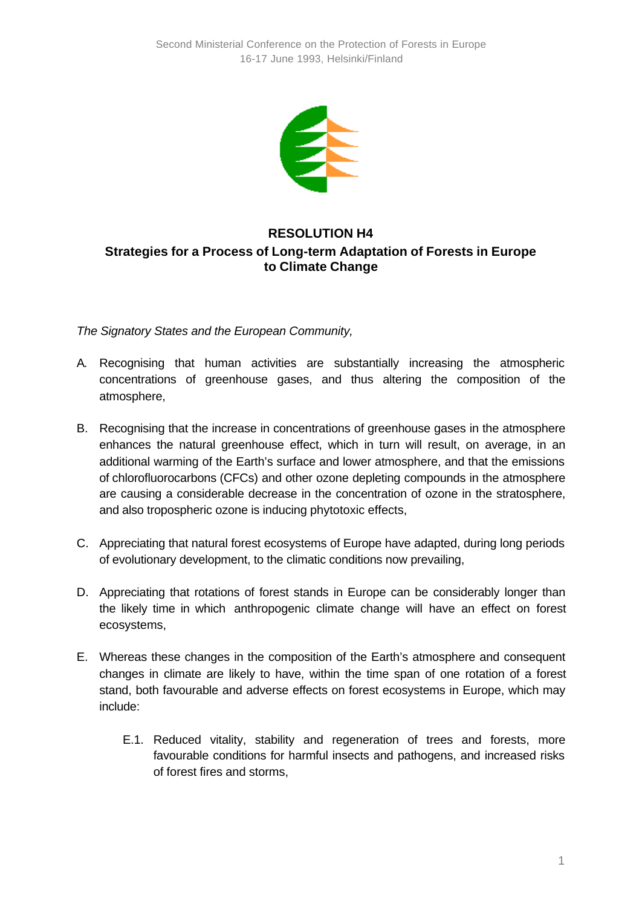

## **RESOLUTION H4 Strategies for a Process of Long-term Adaptation of Forests in Europe to Climate Change**

*The Signatory States and the European Community,*

- A. Recognising that human activities are substantially increasing the atmospheric concentrations of greenhouse gases, and thus altering the composition of the atmosphere,
- B. Recognising that the increase in concentrations of greenhouse gases in the atmosphere enhances the natural greenhouse effect, which in turn will result, on average, in an additional warming of the Earth's surface and lower atmosphere, and that the emissions of chlorofluorocarbons (CFCs) and other ozone depleting compounds in the atmosphere are causing a considerable decrease in the concentration of ozone in the stratosphere, and also tropospheric ozone is inducing phytotoxic effects,
- C. Appreciating that natural forest ecosystems of Europe have adapted, during long periods of evolutionary development, to the climatic conditions now prevailing,
- D. Appreciating that rotations of forest stands in Europe can be considerably longer than the likely time in which anthropogenic climate change will have an effect on forest ecosystems,
- E. Whereas these changes in the composition of the Earth's atmosphere and consequent changes in climate are likely to have, within the time span of one rotation of a forest stand, both favourable and adverse effects on forest ecosystems in Europe, which may include:
	- E.1. Reduced vitality, stability and regeneration of trees and forests, more favourable conditions for harmful insects and pathogens, and increased risks of forest fires and storms,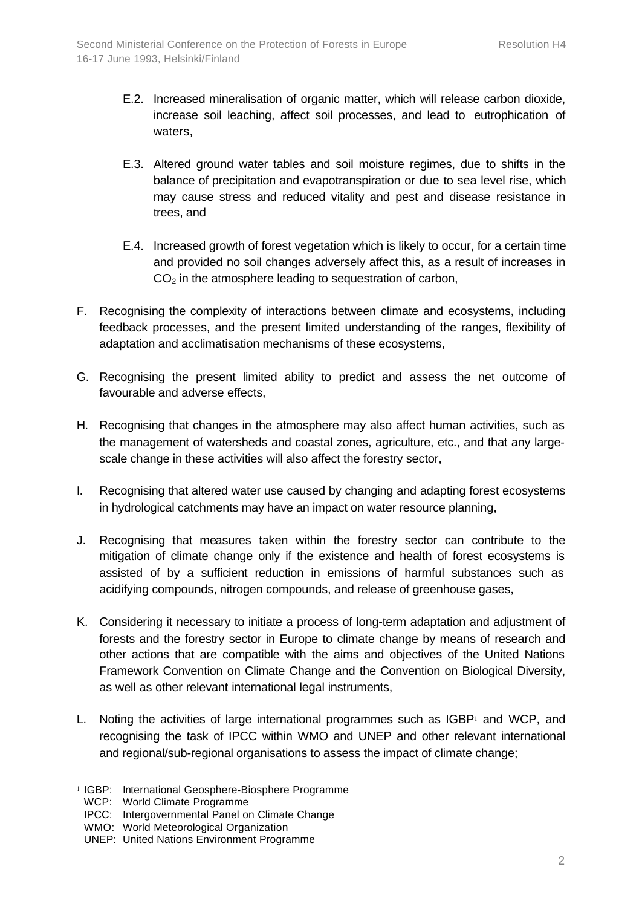- E.2. Increased mineralisation of organic matter, which will release carbon dioxide, increase soil leaching, affect soil processes, and lead to eutrophication of waters,
- E.3. Altered ground water tables and soil moisture regimes, due to shifts in the balance of precipitation and evapotranspiration or due to sea level rise, which may cause stress and reduced vitality and pest and disease resistance in trees, and
- E.4. Increased growth of forest vegetation which is likely to occur, for a certain time and provided no soil changes adversely affect this, as a result of increases in  $CO<sub>2</sub>$  in the atmosphere leading to sequestration of carbon,
- F. Recognising the complexity of interactions between climate and ecosystems, including feedback processes, and the present limited understanding of the ranges, flexibility of adaptation and acclimatisation mechanisms of these ecosystems,
- G. Recognising the present limited ability to predict and assess the net outcome of favourable and adverse effects,
- H. Recognising that changes in the atmosphere may also affect human activities, such as the management of watersheds and coastal zones, agriculture, etc., and that any largescale change in these activities will also affect the forestry sector,
- I. Recognising that altered water use caused by changing and adapting forest ecosystems in hydrological catchments may have an impact on water resource planning,
- J. Recognising that measures taken within the forestry sector can contribute to the mitigation of climate change only if the existence and health of forest ecosystems is assisted of by a sufficient reduction in emissions of harmful substances such as acidifying compounds, nitrogen compounds, and release of greenhouse gases,
- K. Considering it necessary to initiate a process of long-term adaptation and adjustment of forests and the forestry sector in Europe to climate change by means of research and other actions that are compatible with the aims and objectives of the United Nations Framework Convention on Climate Change and the Convention on Biological Diversity, as well as other relevant international legal instruments,
- L. Noting the activities of large international programmes such as  $IGBP<sub>1</sub>$  and WCP, and recognising the task of IPCC within WMO and UNEP and other relevant international and regional/sub-regional organisations to assess the impact of climate change;

l

<sup>1</sup> IGBP: International Geosphere-Biosphere Programme

WCP: World Climate Programme

IPCC: Intergovernmental Panel on Climate Change

WMO: World Meteorological Organization

UNEP: United Nations Environment Programme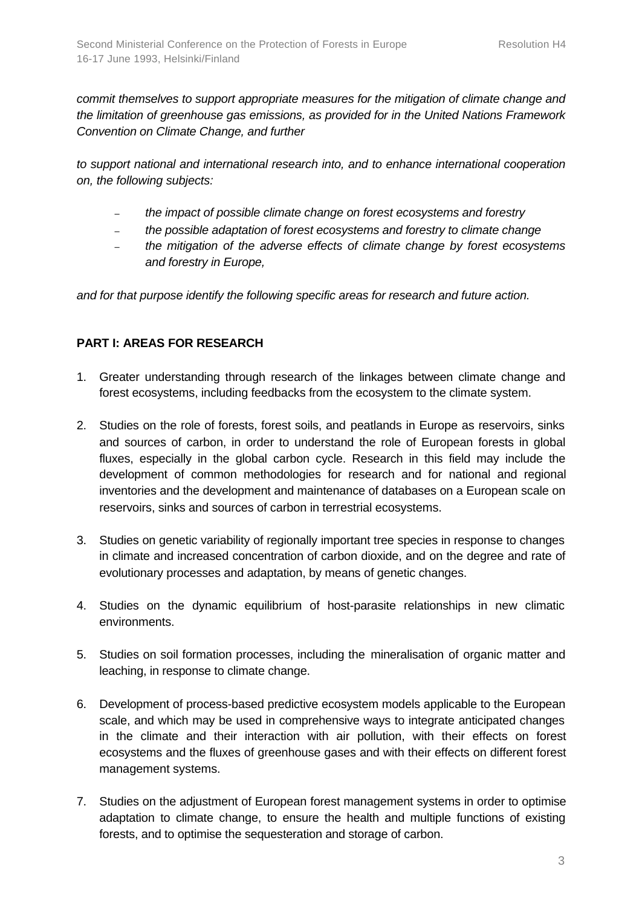*commit themselves to support appropriate measures for the mitigation of climate change and the limitation of greenhouse gas emissions, as provided for in the United Nations Framework Convention on Climate Change, and further*

*to support national and international research into, and to enhance international cooperation on, the following subjects:*

- *the impact of possible climate change on forest ecosystems and forestry*
- *the possible adaptation of forest ecosystems and forestry to climate change*
- *the mitigation of the adverse effects of climate change by forest ecosystems and forestry in Europe,*

*and for that purpose identify the following specific areas for research and future action.*

## **PART I: AREAS FOR RESEARCH**

- 1. Greater understanding through research of the linkages between climate change and forest ecosystems, including feedbacks from the ecosystem to the climate system.
- 2. Studies on the role of forests, forest soils, and peatlands in Europe as reservoirs, sinks and sources of carbon, in order to understand the role of European forests in global fluxes, especially in the global carbon cycle. Research in this field may include the development of common methodologies for research and for national and regional inventories and the development and maintenance of databases on a European scale on reservoirs, sinks and sources of carbon in terrestrial ecosystems.
- 3. Studies on genetic variability of regionally important tree species in response to changes in climate and increased concentration of carbon dioxide, and on the degree and rate of evolutionary processes and adaptation, by means of genetic changes.
- 4. Studies on the dynamic equilibrium of host-parasite relationships in new climatic environments.
- 5. Studies on soil formation processes, including the mineralisation of organic matter and leaching, in response to climate change.
- 6. Development of process-based predictive ecosystem models applicable to the European scale, and which may be used in comprehensive ways to integrate anticipated changes in the climate and their interaction with air pollution, with their effects on forest ecosystems and the fluxes of greenhouse gases and with their effects on different forest management systems.
- 7. Studies on the adjustment of European forest management systems in order to optimise adaptation to climate change, to ensure the health and multiple functions of existing forests, and to optimise the sequesteration and storage of carbon.